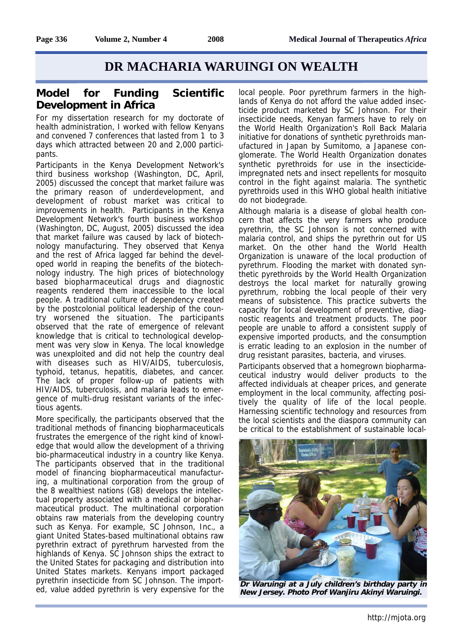## **DR MACHARIA WARUINGI ON WEALTH**

## **Model for Funding Scientific Development in Africa**

For my dissertation research for my doctorate of health administration, I worked with fellow Kenyans and convened 7 conferences that lasted from 1 to 3 days which attracted between 20 and 2,000 participants.

Participants in the Kenya Development Network's third business workshop (Washington, DC, April, 2005) discussed the concept that market failure was the primary reason of underdevelopment, and development of robust market was critical to improvements in health. Participants in the Kenya Development Network's fourth business workshop (Washington, DC, August, 2005) discussed the idea that market failure was caused by lack of biotechnology manufacturing. They observed that Kenya and the rest of Africa lagged far behind the developed world in reaping the benefits of the biotechnology industry. The high prices of biotechnology based biopharmaceutical drugs and diagnostic reagents rendered them inaccessible to the local people. A traditional culture of dependency created by the postcolonial political leadership of the country worsened the situation. The participants observed that the rate of emergence of relevant knowledge that is critical to technological development was very slow in Kenya. The local knowledge was unexploited and did not help the country deal with diseases such as HIV/AIDS, tuberculosis, typhoid, tetanus, hepatitis, diabetes, and cancer. The lack of proper follow-up of patients with HIV/AIDS, tuberculosis, and malaria leads to emergence of multi-drug resistant variants of the infectious agents.

More specifically, the participants observed that the traditional methods of financing biopharmaceuticals frustrates the emergence of the right kind of knowledge that would allow the development of a thriving bio-pharmaceutical industry in a country like Kenya. The participants observed that in the traditional model of financing biopharmaceutical manufacturing, a multinational corporation from the group of the 8 wealthiest nations (G8) develops the intellectual property associated with a medical or biopharmaceutical product. The multinational corporation obtains raw materials from the developing country such as Kenya. For example, SC Johnson, Inc., a giant United States-based multinational obtains raw pyrethrin extract of pyrethrum harvested from the highlands of Kenya. SC Johnson ships the extract to the United States for packaging and distribution into United States markets. Kenyans import packaged pyrethrin insecticide from SC Johnson. The imported, value added pyrethrin is very expensive for the

local people. Poor pyrethrum farmers in the highlands of Kenya do not afford the value added insecticide product marketed by SC Johnson. For their insecticide needs, Kenyan farmers have to rely on the World Health Organization's Roll Back Malaria initiative for donations of synthetic pyrethroids manufactured in Japan by Sumitomo, a Japanese conglomerate. The World Health Organization donates synthetic pyrethroids for use in the insecticideimpregnated nets and insect repellents for mosquito control in the fight against malaria. The synthetic pyrethroids used in this WHO global health initiative do not biodegrade.

Although malaria is a disease of global health concern that affects the very farmers who produce pyrethrin, the SC Johnson is not concerned with malaria control, and ships the pyrethrin out for US market. On the other hand the World Health Organization is unaware of the local production of pyrethrum. Flooding the market with donated synthetic pyrethroids by the World Health Organization destroys the local market for naturally growing pyrethrum, robbing the local people of their very means of subsistence. This practice subverts the capacity for local development of preventive, diagnostic reagents and treatment products. The poor people are unable to afford a consistent supply of expensive imported products, and the consumption is erratic leading to an explosion in the number of drug resistant parasites, bacteria, and viruses.

Participants observed that a homegrown biopharmaceutical industry would deliver products to the affected individuals at cheaper prices, and generate employment in the local community, affecting positively the quality of life of the local people. Harnessing scientific technology and resources from the local scientists and the diaspora community can be critical to the establishment of sustainable local-



**Dr Waruingi at a July children's birthday party in New Jersey. Photo Prof Wanjiru Akinyi Waruingi.**